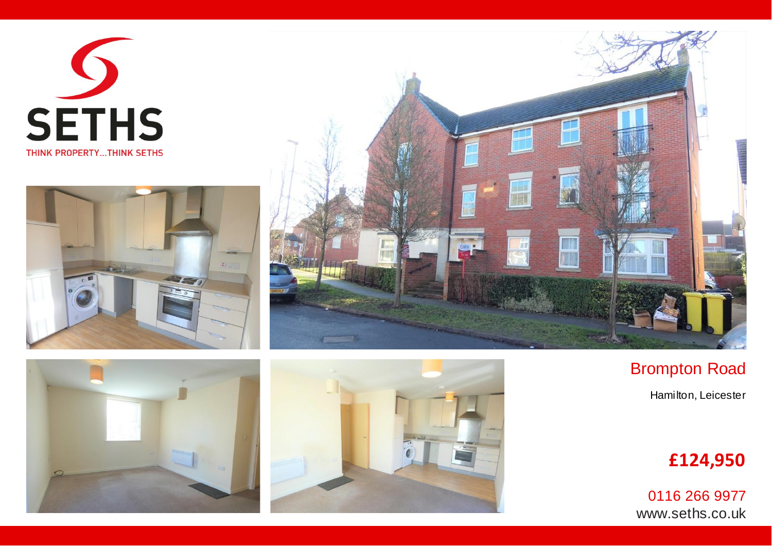









## Brompton Road Hamilton, Leicester

## **£124,950**

[0116 266 9977](mailto:Brixton@reithsymonds.co.uk) www.seths.co.uk